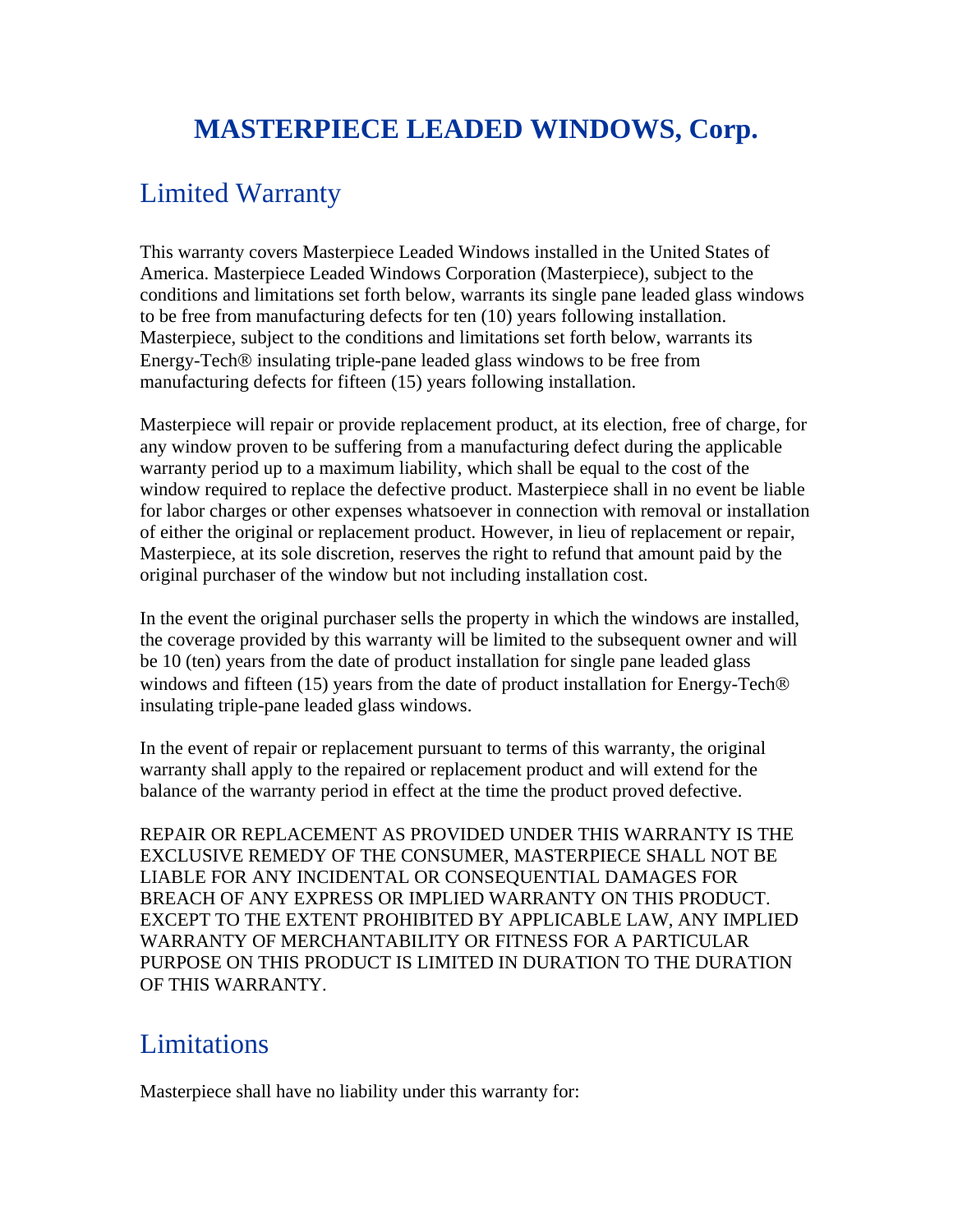# **MASTERPIECE LEADED WINDOWS, Corp.**

## Limited Warranty

This warranty covers Masterpiece Leaded Windows installed in the United States of America. Masterpiece Leaded Windows Corporation (Masterpiece), subject to the conditions and limitations set forth below, warrants its single pane leaded glass windows to be free from manufacturing defects for ten (10) years following installation. Masterpiece, subject to the conditions and limitations set forth below, warrants its Energy-Tech® insulating triple-pane leaded glass windows to be free from manufacturing defects for fifteen (15) years following installation.

Masterpiece will repair or provide replacement product, at its election, free of charge, for any window proven to be suffering from a manufacturing defect during the applicable warranty period up to a maximum liability, which shall be equal to the cost of the window required to replace the defective product. Masterpiece shall in no event be liable for labor charges or other expenses whatsoever in connection with removal or installation of either the original or replacement product. However, in lieu of replacement or repair, Masterpiece, at its sole discretion, reserves the right to refund that amount paid by the original purchaser of the window but not including installation cost.

In the event the original purchaser sells the property in which the windows are installed, the coverage provided by this warranty will be limited to the subsequent owner and will be 10 (ten) years from the date of product installation for single pane leaded glass windows and fifteen (15) years from the date of product installation for Energy-Tech® insulating triple-pane leaded glass windows.

In the event of repair or replacement pursuant to terms of this warranty, the original warranty shall apply to the repaired or replacement product and will extend for the balance of the warranty period in effect at the time the product proved defective.

REPAIR OR REPLACEMENT AS PROVIDED UNDER THIS WARRANTY IS THE EXCLUSIVE REMEDY OF THE CONSUMER, MASTERPIECE SHALL NOT BE LIABLE FOR ANY INCIDENTAL OR CONSEQUENTIAL DAMAGES FOR BREACH OF ANY EXPRESS OR IMPLIED WARRANTY ON THIS PRODUCT. EXCEPT TO THE EXTENT PROHIBITED BY APPLICABLE LAW, ANY IMPLIED WARRANTY OF MERCHANTABILITY OR FITNESS FOR A PARTICULAR PURPOSE ON THIS PRODUCT IS LIMITED IN DURATION TO THE DURATION OF THIS WARRANTY.

#### Limitations

Masterpiece shall have no liability under this warranty for: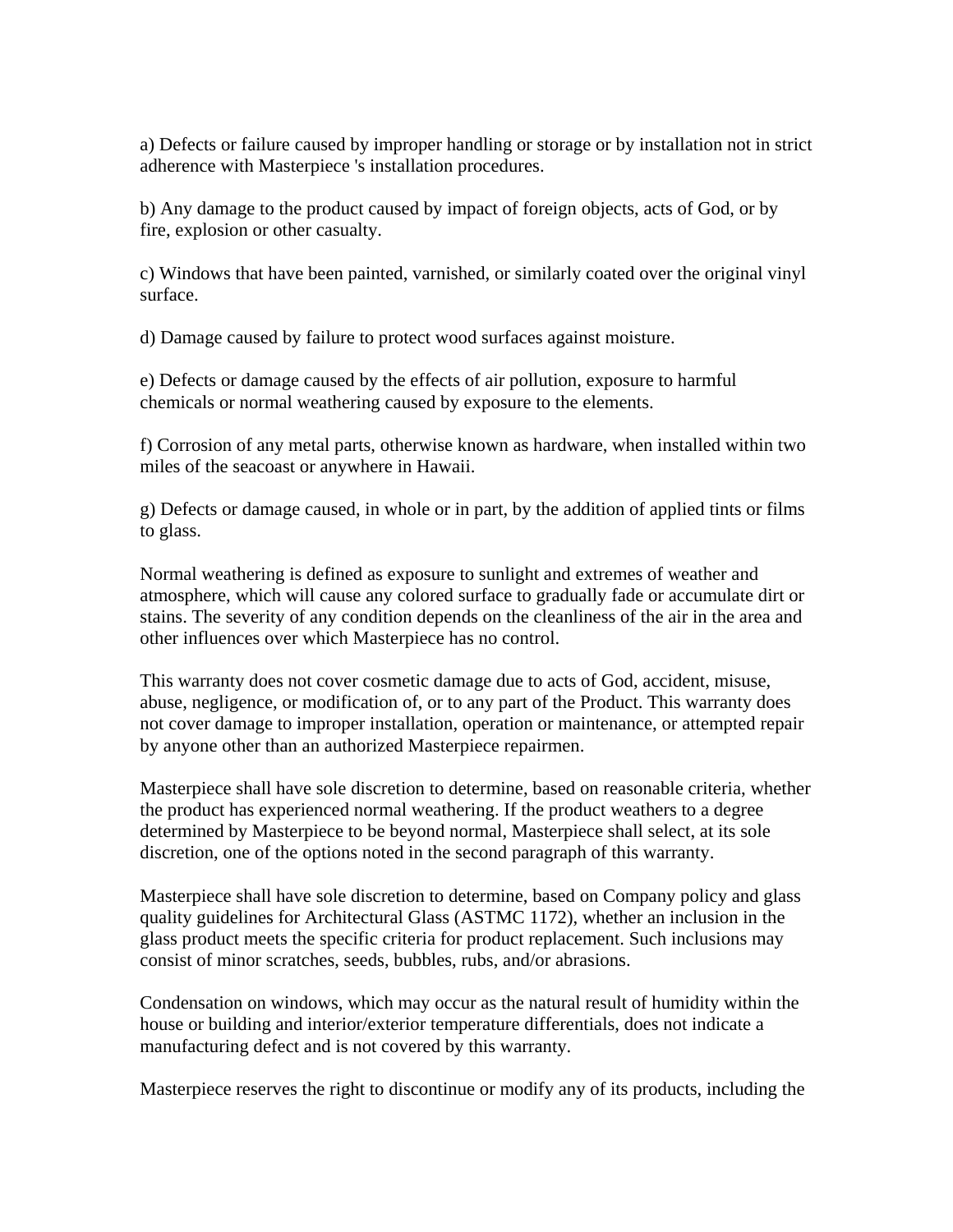a) Defects or failure caused by improper handling or storage or by installation not in strict adherence with Masterpiece 's installation procedures.

b) Any damage to the product caused by impact of foreign objects, acts of God, or by fire, explosion or other casualty.

c) Windows that have been painted, varnished, or similarly coated over the original vinyl surface.

d) Damage caused by failure to protect wood surfaces against moisture.

e) Defects or damage caused by the effects of air pollution, exposure to harmful chemicals or normal weathering caused by exposure to the elements.

f) Corrosion of any metal parts, otherwise known as hardware, when installed within two miles of the seacoast or anywhere in Hawaii.

g) Defects or damage caused, in whole or in part, by the addition of applied tints or films to glass.

Normal weathering is defined as exposure to sunlight and extremes of weather and atmosphere, which will cause any colored surface to gradually fade or accumulate dirt or stains. The severity of any condition depends on the cleanliness of the air in the area and other influences over which Masterpiece has no control.

This warranty does not cover cosmetic damage due to acts of God, accident, misuse, abuse, negligence, or modification of, or to any part of the Product. This warranty does not cover damage to improper installation, operation or maintenance, or attempted repair by anyone other than an authorized Masterpiece repairmen.

Masterpiece shall have sole discretion to determine, based on reasonable criteria, whether the product has experienced normal weathering. If the product weathers to a degree determined by Masterpiece to be beyond normal, Masterpiece shall select, at its sole discretion, one of the options noted in the second paragraph of this warranty.

Masterpiece shall have sole discretion to determine, based on Company policy and glass quality guidelines for Architectural Glass (ASTMC 1172), whether an inclusion in the glass product meets the specific criteria for product replacement. Such inclusions may consist of minor scratches, seeds, bubbles, rubs, and/or abrasions.

Condensation on windows, which may occur as the natural result of humidity within the house or building and interior/exterior temperature differentials, does not indicate a manufacturing defect and is not covered by this warranty.

Masterpiece reserves the right to discontinue or modify any of its products, including the